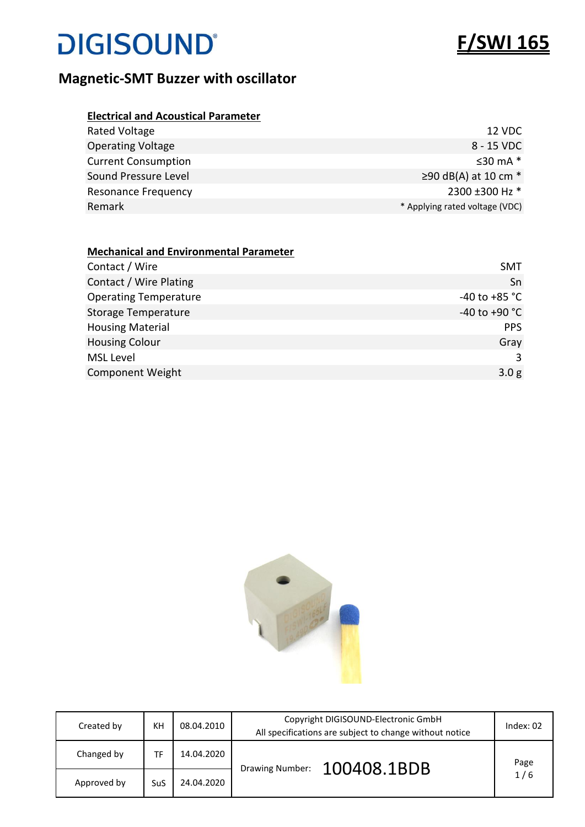

| <b>Electrical and Acoustical Parameter</b> |                                |
|--------------------------------------------|--------------------------------|
| Rated Voltage                              | 12 VDC                         |
| <b>Operating Voltage</b>                   | 8 - 15 VDC                     |
| <b>Current Consumption</b>                 | $\leq$ 30 mA $*$               |
| Sound Pressure Level                       | $\geq$ 90 dB(A) at 10 cm $*$   |
| <b>Resonance Frequency</b>                 | 2300 ±300 Hz *                 |
| Remark                                     | * Applying rated voltage (VDC) |

| <b>Mechanical and Environmental Parameter</b> |                   |
|-----------------------------------------------|-------------------|
| Contact / Wire                                | <b>SMT</b>        |
| Contact / Wire Plating                        | Sn                |
| <b>Operating Temperature</b>                  | $-40$ to $+85$ °C |
| <b>Storage Temperature</b>                    | $-40$ to $+90$ °C |
| <b>Housing Material</b>                       | <b>PPS</b>        |
| <b>Housing Colour</b>                         | Gray              |
| <b>MSL Level</b>                              | 3                 |
| <b>Component Weight</b>                       | 3.0 <sub>g</sub>  |



| Created by  | KH         | 08.04.2010 | Copyright DIGISOUND-Electronic GmbH<br>All specifications are subject to change without notice | Index: $02$ |
|-------------|------------|------------|------------------------------------------------------------------------------------------------|-------------|
| Changed by  | TF         | 14.04.2020 | 100408.1BDB<br><b>Drawing Number:</b>                                                          | Page        |
| Approved by | <b>SuS</b> | 24.04.2020 |                                                                                                | 1/6         |

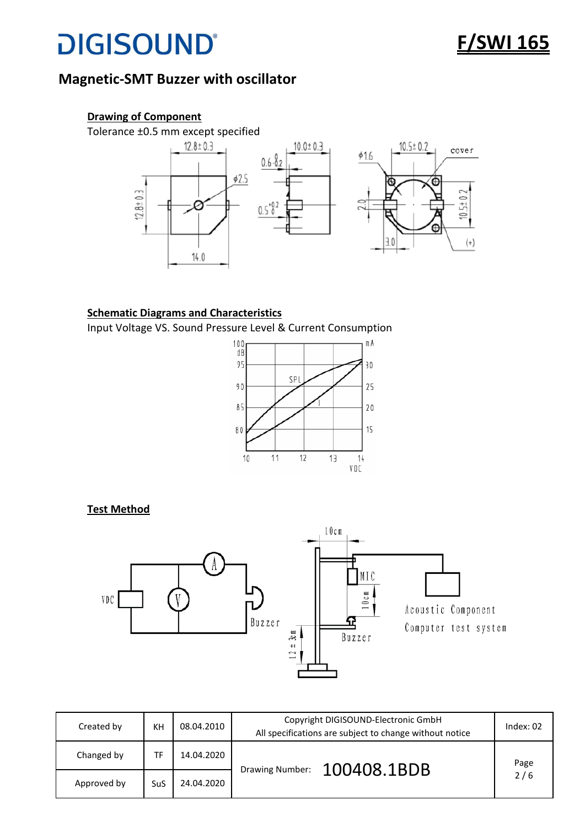## **F/SWI 165**

### **Magnetic-SMT Buzzer with oscillator**



#### **Schematic Diagrams and Characteristics**

Input Voltage VS. Sound Pressure Level & Current Consumption



#### **Test Method**



| Created by  | KH  | 08.04.2010 | Copyright DIGISOUND-Electronic GmbH<br>All specifications are subject to change without notice | Index: $02$ |
|-------------|-----|------------|------------------------------------------------------------------------------------------------|-------------|
| Changed by  | TF  | 14.04.2020 | Drawing Number: 100408.1BDB                                                                    | Page        |
| Approved by | SuS | 24.04.2020 |                                                                                                | 2/6         |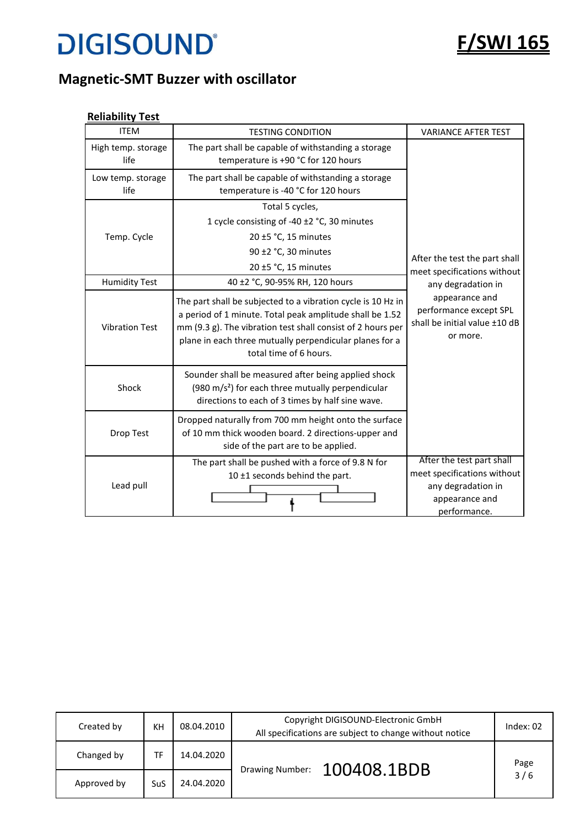

### **Magnetic-SMT Buzzer with oscillator**

#### **Reliability Test**

| <b>ITEM</b>                | <b>TESTING CONDITION</b>                                                                                                                                                                                                                                                     | <b>VARIANCE AFTER TEST</b>                                                                                       |
|----------------------------|------------------------------------------------------------------------------------------------------------------------------------------------------------------------------------------------------------------------------------------------------------------------------|------------------------------------------------------------------------------------------------------------------|
| High temp. storage<br>life | The part shall be capable of withstanding a storage<br>temperature is +90 °C for 120 hours                                                                                                                                                                                   |                                                                                                                  |
| Low temp. storage<br>life  | The part shall be capable of withstanding a storage<br>temperature is -40 °C for 120 hours                                                                                                                                                                                   |                                                                                                                  |
|                            | Total 5 cycles,                                                                                                                                                                                                                                                              |                                                                                                                  |
|                            | 1 cycle consisting of -40 ±2 °C, 30 minutes                                                                                                                                                                                                                                  |                                                                                                                  |
| Temp. Cycle                | 20 ±5 °C, 15 minutes                                                                                                                                                                                                                                                         |                                                                                                                  |
|                            | 90 ±2 °C, 30 minutes                                                                                                                                                                                                                                                         | After the test the part shall                                                                                    |
|                            | 20 ±5 °C, 15 minutes                                                                                                                                                                                                                                                         | meet specifications without                                                                                      |
| <b>Humidity Test</b>       | 40 ±2 °C, 90-95% RH, 120 hours                                                                                                                                                                                                                                               | any degradation in                                                                                               |
| <b>Vibration Test</b>      | The part shall be subjected to a vibration cycle is 10 Hz in<br>a period of 1 minute. Total peak amplitude shall be 1.52<br>mm (9.3 g). The vibration test shall consist of 2 hours per<br>plane in each three mutually perpendicular planes for a<br>total time of 6 hours. | appearance and<br>performance except SPL<br>shall be initial value ±10 dB<br>or more.                            |
| Shock                      | Sounder shall be measured after being applied shock<br>(980 m/s <sup>2</sup> ) for each three mutually perpendicular<br>directions to each of 3 times by half sine wave.                                                                                                     |                                                                                                                  |
| Drop Test                  | Dropped naturally from 700 mm height onto the surface<br>of 10 mm thick wooden board. 2 directions-upper and<br>side of the part are to be applied.                                                                                                                          |                                                                                                                  |
| Lead pull                  | The part shall be pushed with a force of 9.8 N for<br>10 ±1 seconds behind the part.                                                                                                                                                                                         | After the test part shall<br>meet specifications without<br>any degradation in<br>appearance and<br>performance. |

| Created by  | KH  | 08.04.2010 | Copyright DIGISOUND-Electronic GmbH<br>All specifications are subject to change without notice | Index: 02 |
|-------------|-----|------------|------------------------------------------------------------------------------------------------|-----------|
| Changed by  | TF  | 14.04.2020 | 100408.1BDB<br>Drawing Number:                                                                 | Page      |
| Approved by | SuS | 24.04.2020 |                                                                                                | 3/6       |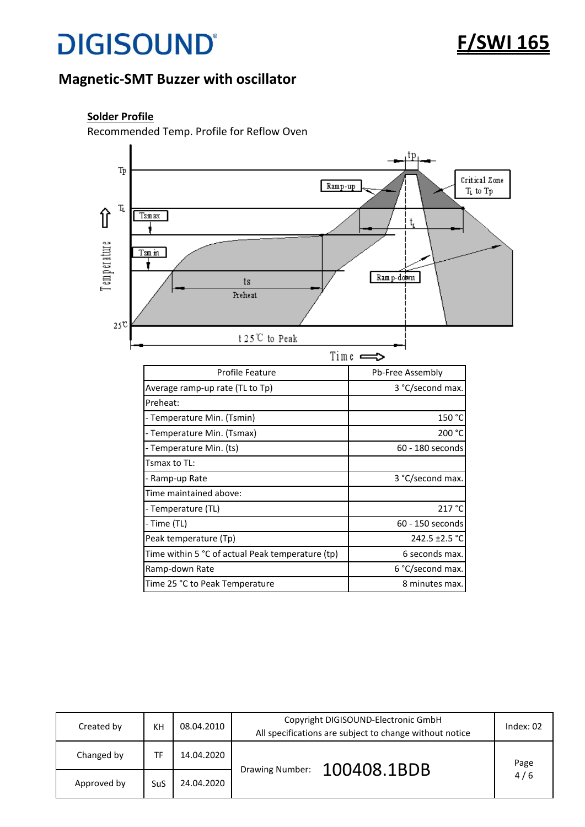

### **Magnetic-SMT Buzzer with oscillator**

#### **Solder Profile**

Recommended Temp. Profile for Reflow Oven



| Created by  | KH         | 08.04.2010 | Copyright DIGISOUND-Electronic GmbH<br>All specifications are subject to change without notice | Index: $02$ |
|-------------|------------|------------|------------------------------------------------------------------------------------------------|-------------|
| Changed by  | TF         | 14.04.2020 |                                                                                                | Page        |
| Approved by | <b>SuS</b> | 24.04.2020 | 100408.1BDB<br>Drawing Number:                                                                 | 4/6         |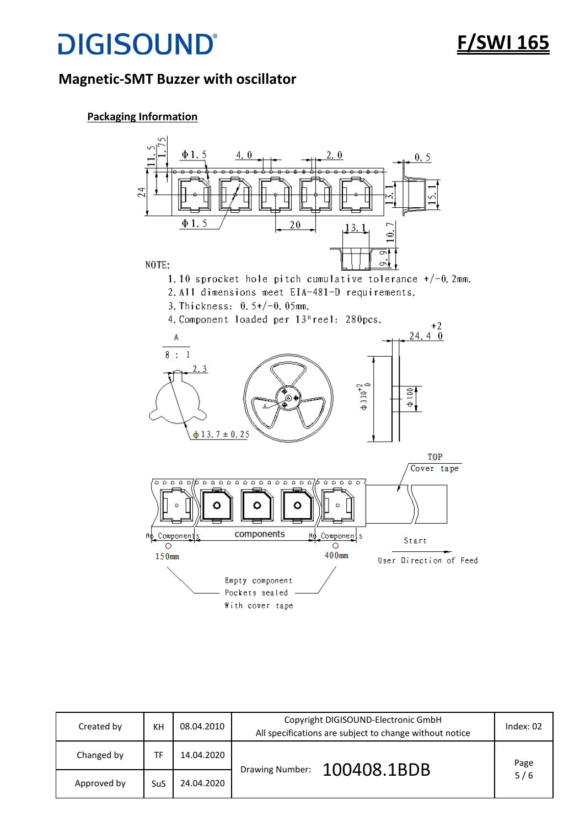## **F/SWI 165**

### **Magnetic-SMT Buzzer with oscillator**

#### **Packaging Information**



| Created by  | KH         | 08.04.2010 | Copyright DIGISOUND-Electronic GmbH<br>All specifications are subject to change without notice | Index: $02$ |
|-------------|------------|------------|------------------------------------------------------------------------------------------------|-------------|
| Changed by  | TF         | 14.04.2020 | 100408.1BDB<br>Drawing Number:                                                                 | Page        |
| Approved by | <b>SuS</b> | 24.04.2020 |                                                                                                | 5/6         |